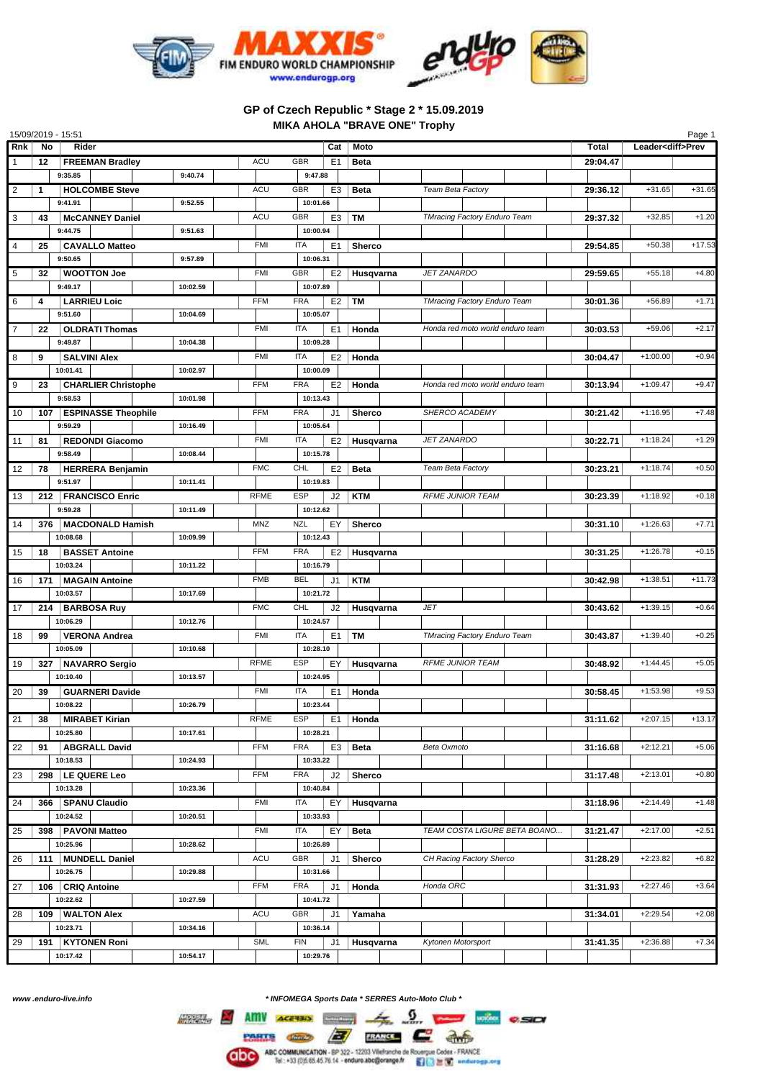

## **GP of Czech Republic \* Stage 2 \* 15.09.2019 MIKA AHOLA "BRAVE ONE" Trophy**

| 15/09/2019 - 15:51<br>Page 1 |              |                            |          |             |                              |                |                     |                                     |          |            |          |
|------------------------------|--------------|----------------------------|----------|-------------|------------------------------|----------------|---------------------|-------------------------------------|----------|------------|----------|
| <b>Rnk</b>                   | No           | Rider                      | Cat      |             | Moto                         |                | Total               | Leader <diff>Prev</diff>            |          |            |          |
|                              | 12           | <b>FREEMAN Bradley</b>     |          | <b>ACU</b>  | <b>GBR</b><br>E <sub>1</sub> |                | Beta                |                                     | 29:04.47 |            |          |
|                              |              | 9:35.85                    | 9:40.74  |             | 9:47.88                      |                |                     |                                     |          |            |          |
| 2                            | $\mathbf{1}$ | <b>HOLCOMBE Steve</b>      |          | <b>ACU</b>  | GBR                          | E <sub>3</sub> | <b>Beta</b>         | Team Beta Factory                   | 29:36.12 | $+31.65$   | $+31.65$ |
|                              |              | 9:41.91                    | 9:52.55  |             | 10:01.66                     |                |                     |                                     |          |            |          |
| 3                            | 43           | <b>McCANNEY Daniel</b>     |          | <b>ACU</b>  | <b>GBR</b>                   | E3             | <b>TM</b>           | TMracing Factory Enduro Team        | 29:37.32 | $+32.85$   | $+1.20$  |
|                              |              | 9:44.75                    | 9:51.63  |             | 10:00.94                     |                |                     |                                     |          |            |          |
|                              |              |                            |          |             |                              |                |                     |                                     |          |            |          |
| 4                            | 25           | <b>CAVALLO Matteo</b>      |          | <b>FMI</b>  | <b>ITA</b>                   | E <sub>1</sub> | Sherco              |                                     | 29:54.85 | $+50.38$   | $+17.53$ |
|                              |              | 9:50.65                    | 9:57.89  |             | 10:06.31                     |                |                     |                                     |          |            |          |
| 5                            | 32           | <b>WOOTTON Joe</b>         |          | <b>FMI</b>  | GBR                          | E <sub>2</sub> | Husqvarna           | <b>JET ZANARDO</b>                  | 29:59.65 | $+55.18$   | $+4.80$  |
|                              |              | 9:49.17                    | 10:02.59 |             | 10:07.89                     |                |                     |                                     |          |            |          |
| 6                            | 4            | <b>LARRIEU Loic</b>        |          | <b>FFM</b>  | <b>FRA</b>                   | E <sub>2</sub> | TM                  | <b>TMracing Factory Enduro Team</b> | 30:01.36 | $+56.89$   | $+1.71$  |
|                              |              | 9:51.60                    | 10:04.69 |             | 10:05.07                     |                |                     |                                     |          |            |          |
| 7                            | 22           | <b>OLDRATI Thomas</b>      |          | <b>FMI</b>  | <b>ITA</b>                   | E <sub>1</sub> | Honda               | Honda red moto world enduro team    | 30:03.53 | $+59.06$   | $+2.17$  |
|                              |              | 9:49.87                    | 10:04.38 |             | 10:09.28                     |                |                     |                                     |          |            |          |
| 8                            | 9            | <b>SALVINI Alex</b>        |          | <b>FMI</b>  | <b>ITA</b>                   |                | $E2$   Honda        |                                     | 30:04.47 | $+1:00.00$ | $+0.94$  |
|                              |              | 10:01.41                   | 10:02.97 |             | 10:00.09                     |                |                     |                                     |          |            |          |
| 9                            | 23           | <b>CHARLIER Christophe</b> |          | <b>FFM</b>  | <b>FRA</b>                   | E <sub>2</sub> | │ Honda             | Honda red moto world enduro team    | 30:13.94 | $+1:09.47$ | $+9.47$  |
|                              |              | 9:58.53                    | 10:01.98 |             | 10:13.43                     |                |                     |                                     |          |            |          |
| 10                           | 107          | <b>ESPINASSE Theophile</b> |          | <b>FFM</b>  | <b>FRA</b><br>J <sub>1</sub> |                | <b>Sherco</b>       | <b>SHERCO ACADEMY</b>               | 30:21.42 | $+1:16.95$ | $+7.48$  |
|                              |              | 9:59.29                    | 10:16.49 |             | 10:05.64                     |                |                     |                                     |          |            |          |
| 11                           | 81           | <b>REDONDI Giacomo</b>     |          | <b>FMI</b>  | <b>ITA</b>                   | E2             | Husqvarna           | <b>JET ZANARDO</b>                  | 30:22.71 | $+1:18.24$ | $+1.29$  |
|                              |              | 9:58.49                    | 10:08.44 |             | 10:15.78                     |                |                     |                                     |          |            |          |
|                              |              |                            |          |             |                              |                |                     |                                     |          |            |          |
| 12                           | 78           | <b>HERRERA Benjamin</b>    |          | <b>FMC</b>  | <b>CHL</b>                   |                | E <sub>2</sub> Beta | Team Beta Factory                   | 30:23.21 | $+1:18.74$ | $+0.50$  |
|                              |              | 9:51.97                    | 10:11.41 |             | 10:19.83                     |                |                     |                                     |          |            |          |
| 13                           | 212          | <b>FRANCISCO Enric</b>     |          | <b>RFME</b> | <b>ESP</b>                   | J2             | <b>KTM</b>          | <b>RFME JUNIOR TEAM</b>             | 30:23.39 | $+1:18.92$ | $+0.18$  |
|                              |              | 9:59.28                    | 10:11.49 |             | 10:12.62                     |                |                     |                                     |          |            |          |
| 14                           | 376          | <b>MACDONALD Hamish</b>    |          | MNZ         | <b>NZL</b><br>EY             |                | Sherco              |                                     | 30:31.10 | $+1:26.63$ | $+7.71$  |
|                              |              | 10:08.68                   | 10:09.99 |             | 10:12.43                     |                |                     |                                     |          |            |          |
| 15                           | 18           | <b>BASSET Antoine</b>      |          | <b>FFM</b>  | <b>FRA</b>                   | E <sub>2</sub> | Husqvarna           |                                     | 30:31.25 | $+1:26.78$ | $+0.15$  |
|                              |              | 10:03.24                   | 10:11.22 |             | 10:16.79                     |                |                     |                                     |          |            |          |
| 16                           | 171          | <b>MAGAIN Antoine</b>      |          | <b>FMB</b>  | <b>BEL</b><br>J <sub>1</sub> |                | <b>KTM</b>          |                                     | 30:42.98 | $+1:38.51$ | $+11.73$ |
|                              |              | 10:03.57                   | 10:17.69 |             | 10:21.72                     |                |                     |                                     |          |            |          |
| 17                           | 214          | <b>BARBOSA Ruy</b>         |          | <b>FMC</b>  | CHL                          | J2             | Husqvarna           | JET                                 | 30:43.62 | $+1:39.15$ | $+0.64$  |
|                              |              | 10:06.29                   | 10:12.76 |             | 10:24.57                     |                |                     |                                     |          |            |          |
| 18                           | 99           | <b>VERONA Andrea</b>       |          | <b>FMI</b>  | <b>ITA</b>                   | E <sub>1</sub> | TM                  | <b>TMracing Factory Enduro Team</b> | 30:43.87 | $+1:39.40$ | $+0.25$  |
|                              |              | 10:05.09                   | 10:10.68 |             | 10:28.10                     |                |                     |                                     |          |            |          |
| 19                           | 327          | <b>NAVARRO Sergio</b>      |          | <b>RFME</b> | <b>ESP</b>                   | EY             | Husqvarna           | <b>RFME JUNIOR TEAM</b>             | 30:48.92 | $+1:44.45$ | $+5.05$  |
|                              |              | 10:10.40                   | 10:13.57 |             | 10:24.95                     |                |                     |                                     |          |            |          |
| 20                           | 39           | <b>GUARNERI Davide</b>     |          | <b>FMI</b>  | <b>ITA</b>                   |                | $E1$   Honda        |                                     | 30:58.45 | $+1:53.98$ | $+9.53$  |
|                              |              | 10:08.22                   | 10:26.79 |             | 10:23.44                     |                |                     |                                     |          |            |          |
|                              |              |                            |          | <b>RFME</b> | ESP                          |                |                     |                                     |          | $+2:07.15$ | $+13.17$ |
| 21                           | 38           | <b>MIRABET Kirian</b>      | 10:17.61 |             | 10:28.21                     |                | $E1$   Honda        |                                     | 31:11.62 |            |          |
|                              |              | 10:25.80                   |          |             |                              |                |                     |                                     |          |            |          |
| 22                           | 91           | <b>ABGRALL David</b>       |          | <b>FFM</b>  | <b>FRA</b>                   | E <sub>3</sub> | <b>Beta</b>         | Beta Oxmoto                         | 31:16.68 | $+2:12.21$ | $+5.06$  |
|                              |              | 10:18.53                   | 10:24.93 |             | 10:33.22                     |                |                     |                                     |          |            |          |
| 23                           |              | 298   LE QUERE Leo         |          | <b>FFM</b>  | <b>FRA</b><br>J2             |                | Sherco              |                                     | 31:17.48 | $+2:13.01$ | $+0.80$  |
|                              |              | 10:13.28                   | 10:23.36 |             | 10:40.84                     |                |                     |                                     |          |            |          |
| 24                           |              | 366   SPANU Claudio        |          | <b>FMI</b>  | <b>ITA</b><br>EY             |                | Husqvarna           |                                     | 31:18.96 | $+2:14.49$ | $+1.48$  |
|                              |              | 10:24.52                   | 10:20.51 |             | 10:33.93                     |                |                     |                                     |          |            |          |
| 25                           | 398          | <b>PAVONI Matteo</b>       |          | FMI         | ITA                          | EY             | Beta                | TEAM COSTA LIGURE BETA BOANO        | 31:21.47 | $+2:17.00$ | $+2.51$  |
|                              |              | 10:25.96                   | 10:28.62 |             | 10:26.89                     |                |                     |                                     |          |            |          |
| 26                           | 111          | <b>MUNDELL Daniel</b>      |          | ACU         | GBR<br>J1                    |                | <b>Sherco</b>       | CH Racing Factory Sherco            | 31:28.29 | $+2:23.82$ | $+6.82$  |
|                              |              | 10:26.75                   | 10:29.88 |             | 10:31.66                     |                |                     |                                     |          |            |          |
| 27                           |              | 106   CRIQ Antoine         |          | <b>FFM</b>  | <b>FRA</b><br>J1             |                | Honda               | Honda ORC                           | 31:31.93 | $+2:27.46$ | $+3.64$  |
|                              |              | 10:22.62                   | 10:27.59 |             | 10:41.72                     |                |                     |                                     |          |            |          |
| 28                           |              | 109 WALTON Alex            |          | ACU         | GBR<br>J1                    |                | Yamaha              |                                     | 31:34.01 | $+2:29.54$ | $+2.08$  |
|                              |              | 10:23.71                   | 10:34.16 |             | 10:36.14                     |                |                     |                                     |          |            |          |
|                              |              |                            |          | <b>SML</b>  | <b>FIN</b>                   |                |                     | Kytonen Motorsport                  |          | $+2:36.88$ | $+7.34$  |
| 29                           |              | 191   KYTONEN Roni         |          |             | J1<br>10:29.76               |                | Husqvarna           |                                     | 31:41.35 |            |          |
|                              |              | 10:17.42                   | 10:54.17 |             |                              |                |                     |                                     |          |            |          |

*www .enduro-live.info \* INFOMEGA Sports Data \* SERRES Auto-Moto Club \**

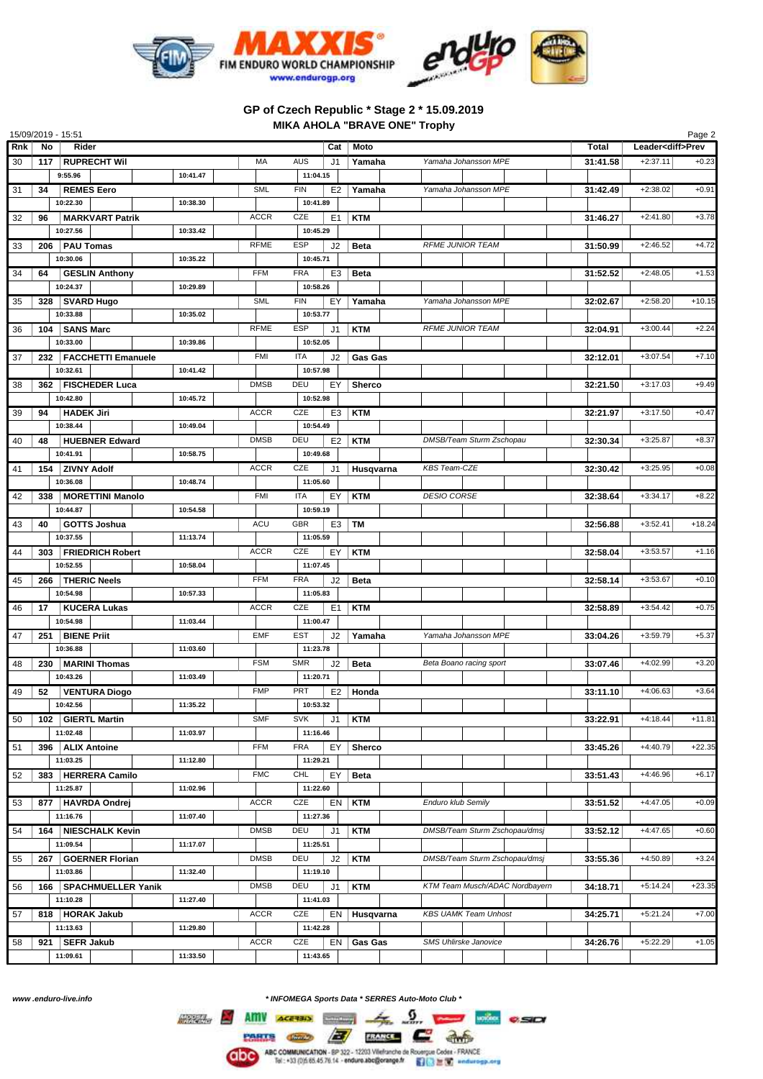

## **GP of Czech Republic \* Stage 2 \* 15.09.2019 MIKA AHOLA "BRAVE ONE" Trophy**

| 15/09/2019 - 15:51<br>Page 2 |     |                              |          |             |                              |                |                                |          |                          |          |
|------------------------------|-----|------------------------------|----------|-------------|------------------------------|----------------|--------------------------------|----------|--------------------------|----------|
| Rnk                          | No  | Rider                        |          |             | Cat                          | Moto           |                                | Total    | Leader <diff>Prev</diff> |          |
| 30                           | 117 | <b>RUPRECHT Wil</b>          |          | MA          | <b>AUS</b><br>J1             | Yamaha         | Yamaha Johansson MPE           | 31:41.58 | $+2:37.11$               | $+0.23$  |
|                              |     | 9:55.96                      | 10:41.47 |             | 11:04.15                     |                |                                |          |                          |          |
| 31                           | 34  | <b>REMES Eero</b>            |          | <b>SML</b>  | <b>FIN</b><br>E <sub>2</sub> | Yamaha         | Yamaha Johansson MPE           | 31:42.49 | $+2:38.02$               | $+0.91$  |
|                              |     | 10:22.30                     | 10:38.30 |             | 10:41.89                     |                |                                |          |                          |          |
| 32                           | 96  | <b>MARKVART Patrik</b>       |          | <b>ACCR</b> | CZE<br>E1                    | <b>KTM</b>     |                                | 31:46.27 | $+2:41.80$               | $+3.78$  |
|                              |     | 10:27.56                     | 10:33.42 |             | 10:45.29                     |                |                                |          |                          |          |
| 33                           |     | 206   PAU Tomas              |          | <b>RFME</b> | <b>ESP</b><br>J2             | <b>Beta</b>    | <b>RFME JUNIOR TEAM</b>        | 31:50.99 | $+2:46.52$               | $+4.72$  |
|                              |     | 10:30.06                     | 10:35.22 |             | 10:45.71                     |                |                                |          |                          |          |
| 34                           | 64  | <b>GESLIN Anthony</b>        |          | <b>FFM</b>  | <b>FRA</b><br>E3             | <b>Beta</b>    |                                | 31:52.52 | $+2:48.05$               | $+1.53$  |
|                              |     | 10:24.37                     | 10:29.89 |             | 10:58.26                     |                |                                |          |                          |          |
|                              |     |                              |          | <b>SML</b>  | <b>FIN</b><br>EY             | Yamaha         | Yamaha Johansson MPE           | 32:02.67 | $+2:58.20$               | $+10.15$ |
| 35                           |     | 328   SVARD Hugo<br>10:33.88 | 10:35.02 |             | 10:53.77                     |                |                                |          |                          |          |
|                              |     |                              |          | <b>RFME</b> |                              |                | <b>RFME JUNIOR TEAM</b>        |          |                          |          |
| 36                           | 104 | <b>SANS Marc</b>             |          |             | <b>ESP</b><br>J <sub>1</sub> | <b>KTM</b>     |                                | 32:04.91 | $+3:00.44$               | $+2.24$  |
|                              |     | 10:33.00                     | 10:39.86 |             | 10:52.05                     |                |                                |          |                          |          |
| 37                           |     | 232   FACCHETTI Emanuele     |          | <b>FMI</b>  | <b>ITA</b><br>J2             | <b>Gas Gas</b> |                                | 32:12.01 | $+3:07.54$               | $+7.10$  |
|                              |     | 10:32.61                     | 10:41.42 |             | 10:57.98                     |                |                                |          |                          |          |
| 38                           |     | 362   FISCHEDER Luca         |          | <b>DMSB</b> | DEU<br>EY                    | <b>Sherco</b>  |                                | 32:21.50 | $+3:17.03$               | $+9.49$  |
|                              |     | 10:42.80                     | 10:45.72 |             | 10:52.98                     |                |                                |          |                          |          |
| 39                           | 94  | <b>HADEK Jiri</b>            |          | <b>ACCR</b> | CZE<br>E <sub>3</sub>        | <b>KTM</b>     |                                | 32:21.97 | $+3:17.50$               | $+0.47$  |
|                              |     | 10:38.44                     | 10:49.04 |             | 10:54.49                     |                |                                |          |                          |          |
| 40                           | 48  | <b>HUEBNER Edward</b>        |          | <b>DMSB</b> | DEU<br>E <sub>2</sub>        | <b>KTM</b>     | DMSB/Team Sturm Zschopau       | 32:30.34 | $+3:25.87$               | $+8.37$  |
|                              |     | 10:41.91                     | 10:58.75 |             | 10:49.68                     |                |                                |          |                          |          |
| 41                           | 154 | <b>ZIVNY Adolf</b>           |          | <b>ACCR</b> | CZE<br>J1                    | Husqvarna      | <b>KBS Team-CZE</b>            | 32:30.42 | $+3:25.95$               | $+0.08$  |
|                              |     | 10:36.08                     | 10:48.74 |             | 11:05.60                     |                |                                |          |                          |          |
| 42                           |     | 338   MORETTINI Manolo       |          | <b>FMI</b>  | <b>ITA</b><br>EY             | <b>KTM</b>     | <b>DESIO CORSE</b>             | 32:38.64 | $+3:34.17$               | $+8.22$  |
|                              |     | 10:44.87                     | 10:54.58 |             | 10:59.19                     |                |                                |          |                          |          |
| 43                           | 40  | <b>GOTTS Joshua</b>          |          | <b>ACU</b>  | <b>GBR</b><br>E <sub>3</sub> | TM             |                                | 32:56.88 | $+3:52.41$               | $+18.24$ |
|                              |     | 10:37.55                     | 11:13.74 |             | 11:05.59                     |                |                                |          |                          |          |
| 44                           |     | 303   FRIEDRICH Robert       |          | <b>ACCR</b> | CZE<br>EY                    | <b>KTM</b>     |                                | 32:58.04 | $+3:53.57$               | $+1.16$  |
|                              |     | 10:52.55                     | 10:58.04 |             | 11:07.45                     |                |                                |          |                          |          |
| 45                           |     | 266   THERIC Neels           |          | <b>FFM</b>  | <b>FRA</b><br>J2             | <b>Beta</b>    |                                | 32:58.14 | $+3:53.67$               | $+0.10$  |
|                              |     | 10:54.98                     | 10:57.33 |             | 11:05.83                     |                |                                |          |                          |          |
| 46                           | 17  | <b>KUCERA Lukas</b>          |          | <b>ACCR</b> | CZE<br>E <sub>1</sub>        | <b>KTM</b>     |                                | 32:58.89 | $+3:54.42$               | $+0.75$  |
|                              |     | 10:54.98                     | 11:03.44 |             | 11:00.47                     |                |                                |          |                          |          |
| 47                           | 251 | <b>BIENE Priit</b>           |          | <b>EMF</b>  | <b>EST</b><br>J2             | Yamaha         | Yamaha Johansson MPE           | 33:04.26 | $+3:59.79$               | $+5.37$  |
|                              |     | 10:36.88                     | 11:03.60 |             | 11:23.78                     |                |                                |          |                          |          |
|                              |     | <b>MARINI Thomas</b>         |          | <b>FSM</b>  | <b>SMR</b><br>J <sub>2</sub> | <b>Beta</b>    | Beta Boano racing sport        | 33:07.46 | $+4:02.99$               | $+3.20$  |
| 48                           | 230 | 10:43.26                     | 11:03.49 |             | 11:20.71                     |                |                                |          |                          |          |
|                              |     |                              |          | <b>FMP</b>  | PRT                          |                |                                |          | $+4:06.63$               | $+3.64$  |
| 49                           | 52  | <b>VENTURA Diogo</b>         | 11:35.22 |             |                              | $E2$ Honda     |                                | 33:11.10 |                          |          |
|                              |     | 10:42.56                     |          |             | 10:53.32                     |                |                                |          |                          |          |
| 50                           |     | 102   GIERTL Martin          |          | <b>SMF</b>  | <b>SVK</b><br>J1             | KTM            |                                | 33:22.91 | $+4:18.44$               | $+11.81$ |
|                              |     | 11:02.48                     | 11:03.97 |             | 11:16.46                     |                |                                |          |                          |          |
| 51                           |     | 396   ALIX Antoine           |          | <b>FFM</b>  | <b>FRA</b><br>EY             | Sherco         |                                | 33:45.26 | $+4:40.79$               | $+22.35$ |
|                              |     | 11:03.25                     | 11:12.80 |             | 11:29.21                     |                |                                |          |                          |          |
| 52                           |     | 383 HERRERA Camilo           |          | <b>FMC</b>  | <b>CHL</b><br>EY             | <b>Beta</b>    |                                | 33:51.43 | $+4:46.96$               | $+6.17$  |
|                              |     | 11:25.87                     | 11:02.96 |             | 11:22.60                     |                |                                |          |                          |          |
| 53                           |     | 877   HAVRDA Ondrej          |          | <b>ACCR</b> | CZE                          | EN KTM         | Enduro klub Semily             | 33:51.52 | $+4:47.05$               | $+0.09$  |
|                              |     | 11:16.76                     | 11:07.40 |             | 11:27.36                     |                |                                |          |                          |          |
| 54                           | 164 | <b>NIESCHALK Kevin</b>       |          | <b>DMSB</b> | DEU<br>J <sub>1</sub>        | <b>KTM</b>     | DMSB/Team Sturm Zschopau/dmsj  | 33:52.12 | $+4:47.65$               | $+0.60$  |
|                              |     | 11:09.54                     | 11:17.07 |             | 11:25.51                     |                |                                |          |                          |          |
| 55                           | 267 | <b>GOERNER Florian</b>       |          | <b>DMSB</b> | DEU<br>J2                    | <b>KTM</b>     | DMSB/Team Sturm Zschopau/dmsj  | 33:55.36 | $+4:50.89$               | $+3.24$  |
|                              |     | 11:03.86                     | 11:32.40 |             | 11:19.10                     |                |                                |          |                          |          |
| 56                           | 166 | <b>SPACHMUELLER Yanik</b>    |          | <b>DMSB</b> | DEU<br>J1                    | <b>KTM</b>     | KTM Team Musch/ADAC Nordbayern | 34:18.71 | $+5:14.24$               | $+23.35$ |
|                              |     | 11:10.28                     | 11:27.40 |             | 11:41.03                     |                |                                |          |                          |          |
| 57                           |     | 818   HORAK Jakub            |          | <b>ACCR</b> | CZE                          | EN Husqvarna   | <b>KBS UAMK Team Unhost</b>    | 34:25.71 | $+5:21.24$               | $+7.00$  |
|                              |     | 11:13.63                     | 11:29.80 |             | 11:42.28                     |                |                                |          |                          |          |
| 58                           | 921 | <b>SEFR Jakub</b>            |          | <b>ACCR</b> | CZE                          | EN Gas Gas     | SMS Uhlirske Janovice          | 34:26.76 | $+5:22.29$               | $+1.05$  |
|                              |     | 11:09.61                     | 11:33.50 |             | 11:43.65                     |                |                                |          |                          |          |
|                              |     |                              |          |             |                              |                |                                |          |                          |          |

*www .enduro-live.info \* INFOMEGA Sports Data \* SERRES Auto-Moto Club \**